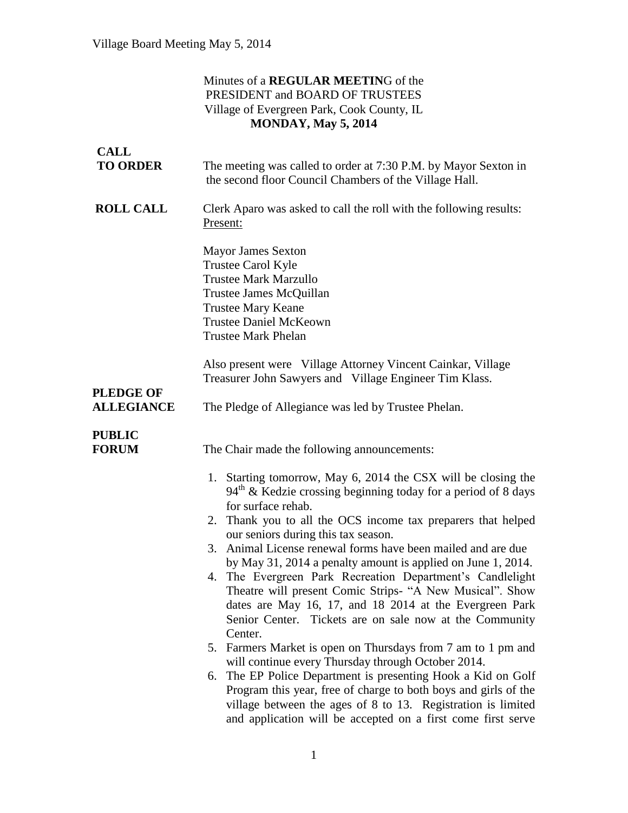## Minutes of a **REGULAR MEETIN**G of the PRESIDENT and BOARD OF TRUSTEES Village of Evergreen Park, Cook County, IL **MONDAY, May 5, 2014**

| <b>CALL</b><br><b>TO ORDER</b>        | The meeting was called to order at 7:30 P.M. by Mayor Sexton in<br>the second floor Council Chambers of the Village Hall.                                                                                                                                                                                                                                                                                                                                                                                                                                                                                                                                                                                                                                                                                                                                                                                                                                                                                                                              |
|---------------------------------------|--------------------------------------------------------------------------------------------------------------------------------------------------------------------------------------------------------------------------------------------------------------------------------------------------------------------------------------------------------------------------------------------------------------------------------------------------------------------------------------------------------------------------------------------------------------------------------------------------------------------------------------------------------------------------------------------------------------------------------------------------------------------------------------------------------------------------------------------------------------------------------------------------------------------------------------------------------------------------------------------------------------------------------------------------------|
| <b>ROLL CALL</b>                      | Clerk Aparo was asked to call the roll with the following results:<br>Present:                                                                                                                                                                                                                                                                                                                                                                                                                                                                                                                                                                                                                                                                                                                                                                                                                                                                                                                                                                         |
|                                       | <b>Mayor James Sexton</b><br>Trustee Carol Kyle<br><b>Trustee Mark Marzullo</b><br>Trustee James McQuillan<br><b>Trustee Mary Keane</b><br><b>Trustee Daniel McKeown</b><br><b>Trustee Mark Phelan</b>                                                                                                                                                                                                                                                                                                                                                                                                                                                                                                                                                                                                                                                                                                                                                                                                                                                 |
|                                       | Also present were Village Attorney Vincent Cainkar, Village<br>Treasurer John Sawyers and Village Engineer Tim Klass.                                                                                                                                                                                                                                                                                                                                                                                                                                                                                                                                                                                                                                                                                                                                                                                                                                                                                                                                  |
| <b>PLEDGE OF</b><br><b>ALLEGIANCE</b> | The Pledge of Allegiance was led by Trustee Phelan.                                                                                                                                                                                                                                                                                                                                                                                                                                                                                                                                                                                                                                                                                                                                                                                                                                                                                                                                                                                                    |
| <b>PUBLIC</b><br><b>FORUM</b>         | The Chair made the following announcements:                                                                                                                                                                                                                                                                                                                                                                                                                                                                                                                                                                                                                                                                                                                                                                                                                                                                                                                                                                                                            |
|                                       | 1. Starting tomorrow, May 6, 2014 the CSX will be closing the<br>$94th$ & Kedzie crossing beginning today for a period of 8 days<br>for surface rehab.<br>Thank you to all the OCS income tax preparers that helped<br>2.<br>our seniors during this tax season.<br>3. Animal License renewal forms have been mailed and are due<br>by May 31, 2014 a penalty amount is applied on June 1, 2014.<br>4. The Evergreen Park Recreation Department's Candlelight<br>Theatre will present Comic Strips- "A New Musical". Show<br>dates are May 16, 17, and 18 2014 at the Evergreen Park<br>Senior Center. Tickets are on sale now at the Community<br>Center.<br>5. Farmers Market is open on Thursdays from 7 am to 1 pm and<br>will continue every Thursday through October 2014.<br>The EP Police Department is presenting Hook a Kid on Golf<br>6.<br>Program this year, free of charge to both boys and girls of the<br>village between the ages of 8 to 13. Registration is limited<br>and application will be accepted on a first come first serve |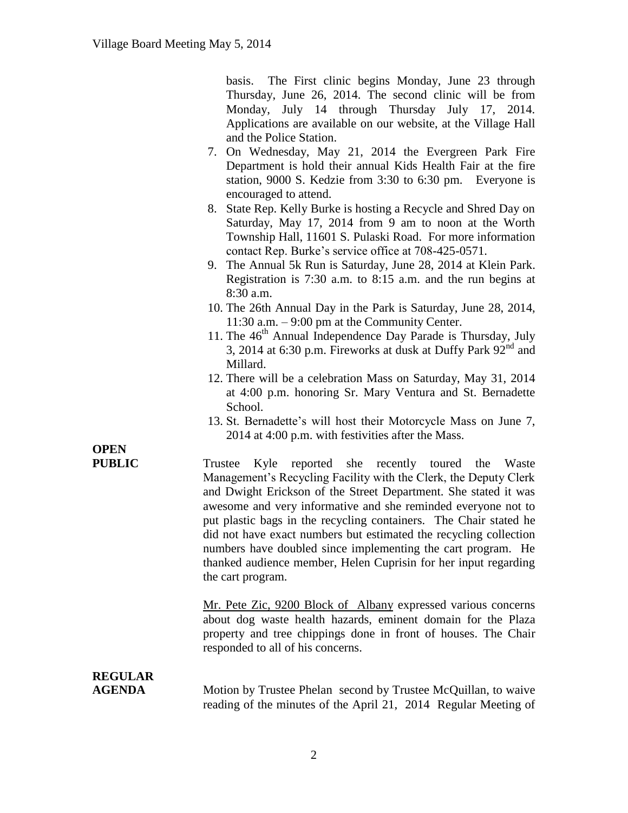basis. The First clinic begins Monday, June 23 through Thursday, June 26, 2014. The second clinic will be from Monday, July 14 through Thursday July 17, 2014. Applications are available on our website, at the Village Hall and the Police Station.

- 7. On Wednesday, May 21, 2014 the Evergreen Park Fire Department is hold their annual Kids Health Fair at the fire station, 9000 S. Kedzie from 3:30 to 6:30 pm. Everyone is encouraged to attend.
- 8. State Rep. Kelly Burke is hosting a Recycle and Shred Day on Saturday, May 17, 2014 from 9 am to noon at the Worth Township Hall, 11601 S. Pulaski Road. For more information contact Rep. Burke's service office at 708-425-0571.
- 9. The Annual 5k Run is Saturday, June 28, 2014 at Klein Park. Registration is 7:30 a.m. to 8:15 a.m. and the run begins at 8:30 a.m.
- 10. The 26th Annual Day in the Park is Saturday, June 28, 2014, 11:30 a.m. – 9:00 pm at the Community Center.
- 11. The 46<sup>th</sup> Annual Independence Day Parade is Thursday, July 3, 2014 at 6:30 p.m. Fireworks at dusk at Duffy Park  $92<sup>nd</sup>$  and Millard.
- 12. There will be a celebration Mass on Saturday, May 31, 2014 at 4:00 p.m. honoring Sr. Mary Ventura and St. Bernadette School.
- 13. St. Bernadette's will host their Motorcycle Mass on June 7, 2014 at 4:00 p.m. with festivities after the Mass.

**OPEN** 

**PUBLIC** Trustee Kyle reported she recently toured the Waste Management's Recycling Facility with the Clerk, the Deputy Clerk and Dwight Erickson of the Street Department. She stated it was awesome and very informative and she reminded everyone not to put plastic bags in the recycling containers. The Chair stated he did not have exact numbers but estimated the recycling collection numbers have doubled since implementing the cart program. He thanked audience member, Helen Cuprisin for her input regarding the cart program.

> Mr. Pete Zic, 9200 Block of Albany expressed various concerns about dog waste health hazards, eminent domain for the Plaza property and tree chippings done in front of houses. The Chair responded to all of his concerns.

# **REGULAR**

**AGENDA** Motion by Trustee Phelan second by Trustee McQuillan, to waive reading of the minutes of the April 21, 2014 Regular Meeting of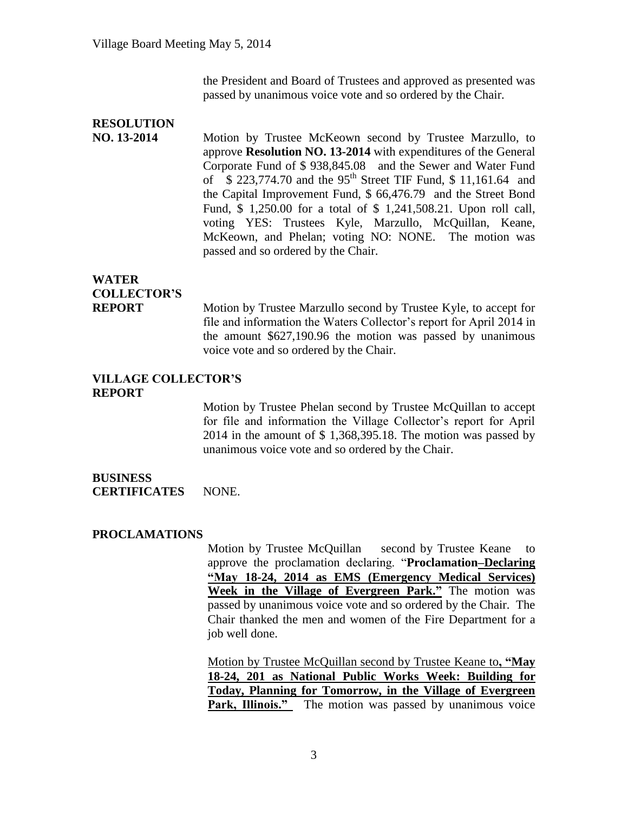the President and Board of Trustees and approved as presented was passed by unanimous voice vote and so ordered by the Chair.

## **RESOLUTION NO. 13-2014** Motion by Trustee McKeown second by Trustee Marzullo, to approve **Resolution NO. 13-2014** with expenditures of the General Corporate Fund of \$ 938,845.08 and the Sewer and Water Fund of  $\hat{S}$  223,774.70 and the 95<sup>th</sup> Street TIF Fund, \$ 11,161.64 and the Capital Improvement Fund, \$ 66,476.79 and the Street Bond Fund, \$ 1,250.00 for a total of \$ 1,241,508.21. Upon roll call, voting YES: Trustees Kyle, Marzullo, McQuillan, Keane, McKeown, and Phelan; voting NO: NONE. The motion was passed and so ordered by the Chair.

## **WATER COLLECTOR'S**

**REPORT** Motion by Trustee Marzullo second by Trustee Kyle, to accept for file and information the Waters Collector's report for April 2014 in the amount \$627,190.96 the motion was passed by unanimous voice vote and so ordered by the Chair.

#### **VILLAGE COLLECTOR'S REPORT**

Motion by Trustee Phelan second by Trustee McQuillan to accept for file and information the Village Collector's report for April 2014 in the amount of \$ 1,368,395.18. The motion was passed by unanimous voice vote and so ordered by the Chair.

#### **BUSINESS CERTIFICATES** NONE.

#### **PROCLAMATIONS**

Motion by Trustee McQuillan second by Trustee Keane to approve the proclamation declaring. "**Proclamation–Declaring "May 18-24, 2014 as EMS (Emergency Medical Services) Week in the Village of Evergreen Park."** The motion was passed by unanimous voice vote and so ordered by the Chair. The Chair thanked the men and women of the Fire Department for a job well done.

Motion by Trustee McQuillan second by Trustee Keane to**, "May 18-24, 201 as National Public Works Week: Building for Today, Planning for Tomorrow, in the Village of Evergreen Park, Illinois."** The motion was passed by unanimous voice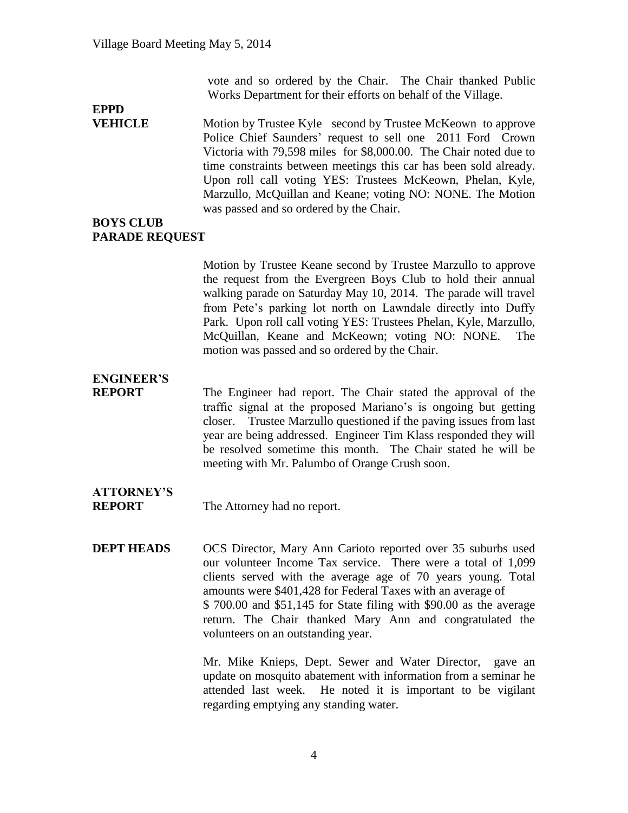vote and so ordered by the Chair. The Chair thanked Public Works Department for their efforts on behalf of the Village.

# **EPPD**

**VEHICLE** Motion by Trustee Kyle second by Trustee McKeown to approve Police Chief Saunders' request to sell one 2011 Ford Crown Victoria with 79,598 miles for \$8,000.00. The Chair noted due to time constraints between meetings this car has been sold already. Upon roll call voting YES: Trustees McKeown, Phelan, Kyle, Marzullo, McQuillan and Keane; voting NO: NONE. The Motion was passed and so ordered by the Chair.

#### **BOYS CLUB PARADE REQUEST**

Motion by Trustee Keane second by Trustee Marzullo to approve the request from the Evergreen Boys Club to hold their annual walking parade on Saturday May 10, 2014. The parade will travel from Pete's parking lot north on Lawndale directly into Duffy Park. Upon roll call voting YES: Trustees Phelan, Kyle, Marzullo, McQuillan, Keane and McKeown; voting NO: NONE. The motion was passed and so ordered by the Chair.

## **ENGINEER'S**

**REPORT** The Engineer had report. The Chair stated the approval of the traffic signal at the proposed Mariano's is ongoing but getting closer. Trustee Marzullo questioned if the paving issues from last year are being addressed. Engineer Tim Klass responded they will be resolved sometime this month. The Chair stated he will be meeting with Mr. Palumbo of Orange Crush soon.

# **ATTORNEY'S**

**REPORT** The Attorney had no report.

**DEPT HEADS** OCS Director, Mary Ann Carioto reported over 35 suburbs used our volunteer Income Tax service. There were a total of 1,099 clients served with the average age of 70 years young. Total amounts were \$401,428 for Federal Taxes with an average of \$ 700.00 and \$51,145 for State filing with \$90.00 as the average return. The Chair thanked Mary Ann and congratulated the volunteers on an outstanding year.

> Mr. Mike Knieps, Dept. Sewer and Water Director, gave an update on mosquito abatement with information from a seminar he attended last week. He noted it is important to be vigilant regarding emptying any standing water.